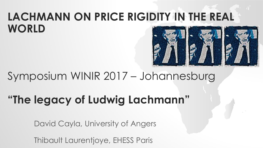## **LACHMANN ON PRICE RIGIDITY IN THE REAL WORLD**



## Symposium WINIR 2017 – Johannesburg

# **"The legacy of Ludwig Lachmann"**

David Cayla, University of Angers

Thibault Laurentjoye, EHESS Paris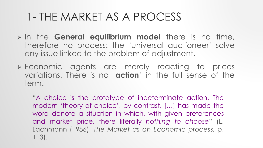- In the **General equilibrium model** there is no time, therefore no process: the 'universal auctioneer' solve any issue linked to the problem of adjustment.
- Economic agents are merely reacting to prices variations. There is no '**action**' in the full sense of the term.

"A choice is the prototype of indeterminate action. The modern 'theory of choice', by contrast, […] has made the word denote a situation in which, with given preferences and market price, there literally *nothing to choose*" (L. Lachmann (1986), *The Market as an Economic process*, p. 113).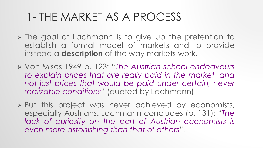- $\triangleright$  The goal of Lachmann is to give up the pretention to establish a formal model of markets and to provide instead a **description** of the way markets work.
- Von Mises 1949 p. 123: "*The Austrian school endeavours to explain prices that are really paid in the market, and not just prices that would be paid under certain, never realizable conditions*" (quoted by Lachmann)
- But this project was never achieved by economists, especially Austrians. Lachmann concludes (p. 131): "*The lack of curiosity on the part of Austrian economists is even more astonishing than that of others*".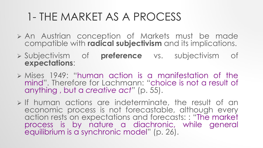- An Austrian conception of Markets must be made compatible with **radical subjectivism** and its implications.
- Subjectivism of **preference** vs. subjectivism of **expectations**:
- $\triangleright$  Mises 1949: "human action is a manifestation of the mind". Therefore for Lachmann: "choice is not a result of anything , but a *creative act*" (p. 55).
- $\triangleright$  If human actions are indeterminate, the result of an economic process is not forecastable, although every action rests on expectations and forecasts: : "The market process is by nature a diachronic, while general equilibrium is a synchronic model" (p. 26).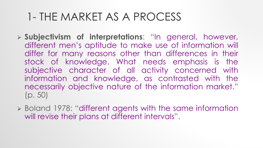- **Subjectivism of interpretations**: "In general, however, different men's aptitude to make use of information will differ for many reasons other than differences in their stock of knowledge. What needs emphasis is the subjective character of all activity concerned with information and knowledge, as contrasted with the necessarily objective nature of the information market." (p. 50)
- Boland 1978: "different agents with the same information will revise their plans at different intervals".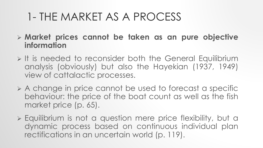- **Market prices cannot be taken as an pure objective information**
- $\triangleright$  It is needed to reconsider both the General Equilibrium analysis (obviously) but also the Hayekian (1937, 1949) view of cattalactic processes.
- $\triangleright$  A change in price cannot be used to forecast a specific behaviour: the price of the boat count as well as the fish market price (p. 65).
- Equilibrium is not a question mere price flexibility, but a dynamic process based on continuous individual plan rectifications in an uncertain world (p. 119).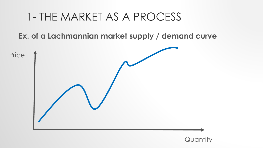**Ex. of a Lachmannian market supply / demand curve**



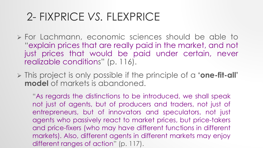- For Lachmann, economic sciences should be able to "explain prices that are really paid in the market, and not just prices that would be paid under certain, never realizable conditions" (p. 116).
- This project is only possible if the principle of a **'one-fit-all' model** of markets is abandoned.

"As regards the distinctions to be introduced, we shall speak not just of agents, but of producers and traders, not just of entrepreneurs, but of innovators and speculators, not just agents who passively react to market prices, but price-takers and price-fixers (who may have different functions in different markets). Also, different agents in different markets may enjoy different ranges of action" (p. 117).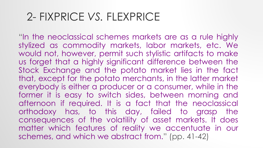"In the neoclassical schemes markets are as a rule highly stylized as commodity markets, labor markets, etc. We would not, however, permit such stylistic artifacts to make us forget that a highly significant difference between the Stock Exchange and the potato market lies in the fact that, except for the potato merchants, in the latter market everybody is either a producer or a consumer, while in the former it is easy to switch sides, between morning and afternoon if required. It is a fact that the neoclassical orthodoxy has, to this day, failed to grasp the consequences of the volatility of asset markets. It does matter which features of reality we accentuate in our schemes, and which we abstract from." (pp. 41-42)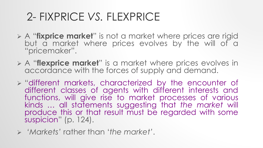- A "**fixprice market**" is not a market where prices are rigid but a market where prices evolves by the will of a "pricemaker".
- A "**flexprice market**" is a market where prices evolves in accordance with the forces of supply and demand.
- $\triangleright$  "different markets, characterized by the encounter of different classes of agents with different interests and functions, will give rise to market processes of various kinds … all statements suggesting that *the market* will produce this or that result must be regarded with some suspicion" (p. 124).
- *'Markets'* rather than '*the market'*.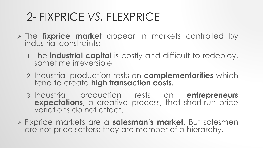- The **fixprice market** appear in markets controlled by industrial constraints:
	- 1. The **industrial capital** is costly and difficult to redeploy, sometime irreversible.
	- 2. Industrial production rests on **complementarities** which tend to create **high transaction costs.**
	- 3. Industrial production rests on **entrepreneurs expectations**, a creative process, that short-run price variations do not affect.
- Fixprice markets are a **salesman's market**. But salesmen are not price setters: they are member of a hierarchy.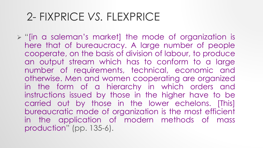$\triangleright$  "[in a saleman's market] the mode of organization is here that of bureaucracy. A large number of people cooperate, on the basis of division of labour, to produce an output stream which has to conform to a large number of requirements, technical, economic and otherwise. Men and women cooperating are organized in the form of a hierarchy in which orders and instructions issued by those in the higher have to be carried out by those in the lower echelons. [This] bureaucratic mode of organization is the most efficient in the application of modern methods of mass production" (pp. 135-6).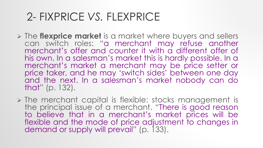- The **flexprice market** is a market where buyers and sellers can switch roles: "a merchant may refuse another merchant's offer and counter it with a different offer of his own. In a salesman's market this is hardly possible. In a merchant's market a merchant may be price setter or price taker, and he may 'switch sides' between one day and the next. In a salesman's market nobody can do that" (p. 132).
- $\triangleright$  The merchant capital is flexible: stocks management is the principal issue of a merchant. "There is good reason to believe that in a merchant's market prices will be flexible and the mode of price adjustment to changes in demand or supply will prevail" (p. 133).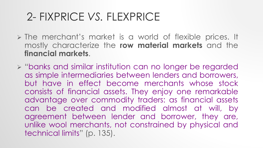- $\triangleright$  The merchant's market is a world of flexible prices. It mostly characterize the **row material markets** and the **financial markets**.
- "banks and similar institution can no longer be regarded as simple intermediaries between lenders and borrowers, but have in effect become merchants whose stock consists of financial assets. They enjoy one remarkable advantage over commodity traders: as financial assets can be created and modified almost at will, by agreement between lender and borrower, they are, unlike wool merchants, not constrained by physical and technical limits" (p. 135).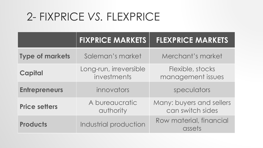|                        | <b>FIXPRICE MARKETS</b>               | <b>FLEXPRICE MARKETS</b>                     |
|------------------------|---------------------------------------|----------------------------------------------|
| <b>Type of markets</b> | Saleman's market                      | Merchant's market                            |
| <b>Capital</b>         | Long-run, irreversible<br>investments | Flexible, stocks<br>management issues        |
| <b>Entrepreneurs</b>   | innovators                            | speculators                                  |
| <b>Price setters</b>   | A bureaucratic<br>authority           | Many: buyers and sellers<br>can switch sides |
| <b>Products</b>        | Industrial production                 | Row material, financial<br>assets            |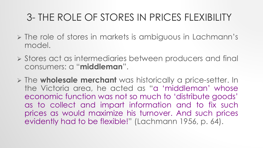- $\triangleright$  The role of stores in markets is ambiguous in Lachmann's model.
- Stores act as intermediaries between producers and final consumers: a "**middleman**".
- The **wholesale merchant** was historically a price-setter. In the Victoria area, he acted as "a 'middleman' whose economic function was not so much to 'distribute goods' as to collect and impart information and to fix such prices as would maximize his turnover. And such prices evidently had to be flexible!" (Lachmann 1956, p. 64).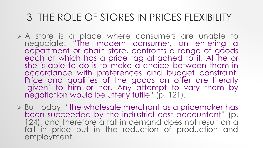- A store is a place where consumers are unable to negociate: "The modern consumer, on entering a department or chain store, confronts a range of goods each of which has a price tag attached to it. All he or she is able to do is to make a choice between them in accordance with preferences and budget constraint. Price and qualities of the goods on offer are literally 'given' to him or her. Any attempt to vary them by negotiation would be utterly futile" (p. 121).
- But today, "the wholesale merchant as a pricemaker has been succeeded by the industrial cost accountant" (p. 124), and therefore a fall in demand does not result on a fall in price but in the reduction of production and employment.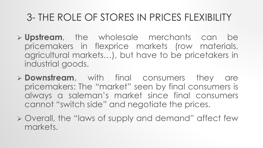- **Upstream**, the wholesale merchants can be pricemakers in flexprice markets (row materials, agricultural markets…), but have to be pricetakers in industrial goods.
- **Downstream**, with final consumers they are pricemakers: The "market" seen by final consumers is always a saleman's market since final consumers cannot "switch side" and negotiate the prices.
- Overall, the "laws of supply and demand" affect few markets.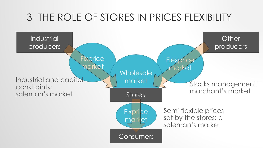